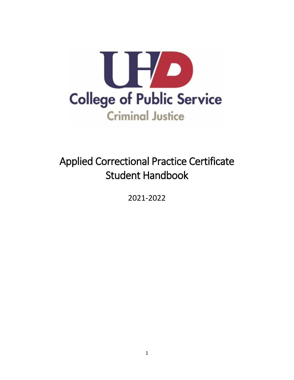

# Applied Correctional Practice Certificate Student Handbook

2021-2022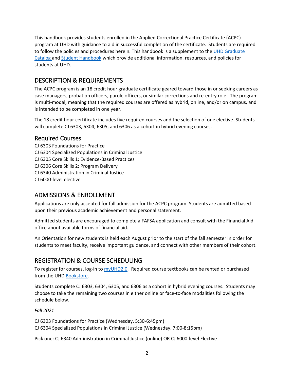program at UHD with guidance to aid in successful completion of the certificate. Students are required to follow the policies and procedures herein. This handbook is a supplement to the UHD Graduate This handbook provides students enrolled in the Applied Correctional Practice Certificate (ACPC) [Catalog a](https://catalog.uhd.edu/index.php)n[d Student Handbook](https://www.uhd.edu/student-resources/handbook/Pages/default.aspx) which provide additional information, resources, and policies for students at UHD.

# DESCRIPTION & REQUIREMENTS

 case managers, probation officers, parole officers, or similar corrections and re-entry role. The program The ACPC program is an 18 credit hour graduate certificate geared toward those in or seeking careers as is multi-modal, meaning that the required courses are offered as hybrid, online, and/or on campus, and is intended to be completed in one year.

 The 18 credit hour certificate includes five required courses and the selection of one elective. Students will complete CJ 6303, 6304, 6305, and 6306 as a cohort in hybrid evening courses.

#### Required Courses

CJ 6303 Foundations for Practice CJ 6304 Specialized Populations in Criminal Justice CJ 6305 Core Skills 1: Evidence-Based Practices CJ 6306 Core Skills 2: Program Delivery CJ 6340 Administration in Criminal Justice CJ 6000-level elective

# ADMISSIONS & ENROLLMENT

Applications are only accepted for fall admission for the ACPC program. Students are admitted based upon their previous academic achievement and personal statement.

Admitted students are encouraged to complete a FAFSA application and consult with the Financial Aid office about available forms of financial aid.

 students to meet faculty, receive important guidance, and connect with other members of their cohort. An Orientation for new students is held each August prior to the start of the fall semester in order for

# REGISTRATION & COURSE SCHEDULING

To register for courses, log-in to [myUHD2.0.](https://www.uhd.edu/myuhd/Pages/Student-Login.aspx) Required course textbooks can be rented or purchased from the UHD [Bookstore.](https://www.bkstr.com/houstondowntownstore/home)

 Students complete CJ 6303, 6304, 6305, and 6306 as a cohort in hybrid evening courses. Students may choose to take the remaining two courses in either online or face-to-face modalities following the schedule below.

#### *Fall 2021*

CJ 6304 Specialized Populations in Criminal Justice (Wednesday, 7:00-8:15pm) CJ 6303 Foundations for Practice (Wednesday, 5:30-6:45pm)

CJ 6304 Specialized Populations in Criminal Justice (Wednesday, 7:00-8:15pm)<br>Pick one: CJ 6340 Administration in Criminal Justice (online) OR CJ 6000-level Elective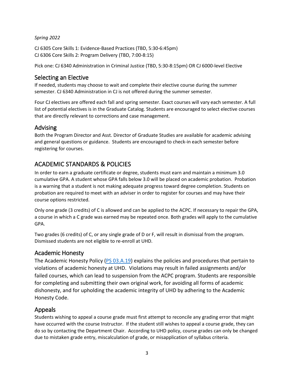#### *Spring 2022*

CJ 6305 Core Skills 1: Evidence-Based Practices (TBD, 5:30-6:45pm) CJ 6306 Core Skills 2: Program Delivery (TBD, 7:00-8:15)

Pick one: CJ 6340 Administration in Criminal Justice (TBD, 5:30-8:15pm) OR CJ 6000-level Elective

#### Selecting an Elective

 semester. CJ 6340 Administration in CJ is not offered during the summer semester. If needed, students may choose to wait and complete their elective course during the summer

 Four CJ electives are offered each fall and spring semester. Exact courses will vary each semester. A full that are directly relevant to corrections and case management. list of potential electives is in the Graduate Catalog. Students are encouraged to select elective courses

## Advising

 and general questions or guidance. Students are encouraged to check-in each semester before Both the Program Director and Asst. Director of Graduate Studies are available for academic advising registering for courses.

# ACADEMIC STANDARDS & POLICIES

 In order to earn a graduate certificate or degree, students must earn and maintain a minimum 3.0 cumulative GPA. A student whose GPA falls below 3.0 will be placed on academic probation. Probation is a warning that a student is not making adequate progress toward degree completion. Students on probation are required to meet with an adviser in order to register for courses and may have their course options restricted.

 Only one grade (3 credits) of C is allowed and can be applied to the ACPC. If necessary to repair the GPA, a course in which a C grade was earned may be repeated once. Both grades will apply to the cumulative GPA.

 Two grades (6 credits) of C, or any single grade of D or F, will result in dismissal from the program. Dismissed students are not eligible to re-enroll at UHD.

#### Academic Honesty

The Academic Honesty Policy (PS 03.A.19) explains the policies and procedures that pertain to for completing and submitting their own original work, for avoiding all forms of academic violations of academic honesty at UHD. Violations may result in failed assignments and/or failed courses, which can lead to suspension from the ACPC program. Students are responsible dishonesty, and for upholding the academic integrity of UHD by adhering to the Academic Honesty Code.

## Appeals

 Students wishing to appeal a course grade must first attempt to reconcile any grading error that might have occurred with the course Instructor. If the student still wishes to appeal a course grade, they can do so by contacting the Department Chair. According to UHD policy, course grades can only be changed due to mistaken grade entry, miscalculation of grade, or misapplication of syllabus criteria.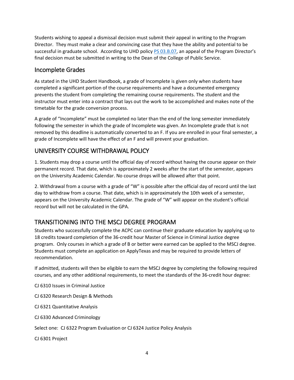Students wishing to appeal a dismissal decision must submit their appeal in writing to the Program Director. They must make a clear and convincing case that they have the ability and potential to be successful in graduate school. According to UHD polic[y PS 03.B.07,](https://www.uhd.edu/administration/employment-services-operations/resources/Documents/AAC%20PS03.B.07.pdf) an appeal of the Program Director's final decision must be submitted in writing to the Dean of the College of Public Service.

## Incomplete Grades

 As stated in the UHD Student Handbook, a grade of Incomplete is given only when students have prevents the student from completing the remaining course requirements. The student and the completed a significant portion of the course requirements and have a documented emergency instructor must enter into a contract that lays out the work to be accomplished and makes note of the timetable for the grade conversion process.

A grade of "Incomplete" must be completed no later than the end of the long semester immediately following the semester in which the grade of Incomplete was given. An Incomplete grade that is not removed by this deadline is automatically converted to an F. If you are enrolled in your final semester, a grade of Incomplete will have the effect of an F and will prevent your graduation.

# UNIVERSITY COURSE WITHDRAWAL POLICY

 1. Students may drop a course until the official day of record without having the course appear on their permanent record. That date, which is approximately 2 weeks after the start of the semester, appears on the University Academic Calendar. No course drops will be allowed after that point.

 day to withdraw from a course. That date, which is in approximately the 10th week of a semester, 2. Withdrawal from a course with a grade of "W" is possible after the official day of record until the last appears on the University Academic Calendar. The grade of "W" will appear on the student's official record but will not be calculated in the GPA.

# TRANSITIONING INTO THE MSCJ DEGREE PROGRAM

 Students must complete an application on ApplyTexas and may be required to provide letters of Students who successfully complete the ACPC can continue their graduate education by applying up to 18 credits toward completion of the 36-credit hour Master of Science in Criminal Justice degree program. Only courses in which a grade of B or better were earned can be applied to the MSCJ degree. recommendation.

 If admitted, students will then be eligible to earn the MSCJ degree by completing the following required courses, and any other additional requirements, to meet the standards of the 36-credit hour degree:

CJ 6310 Issues in Criminal Justice

CJ 6320 Research Design & Methods

CJ 6321 Quantitative Analysis

CJ 6330 Advanced Criminology

Select one: CJ 6322 Program Evaluation or CJ 6324 Justice Policy Analysis

CJ 6301 Project